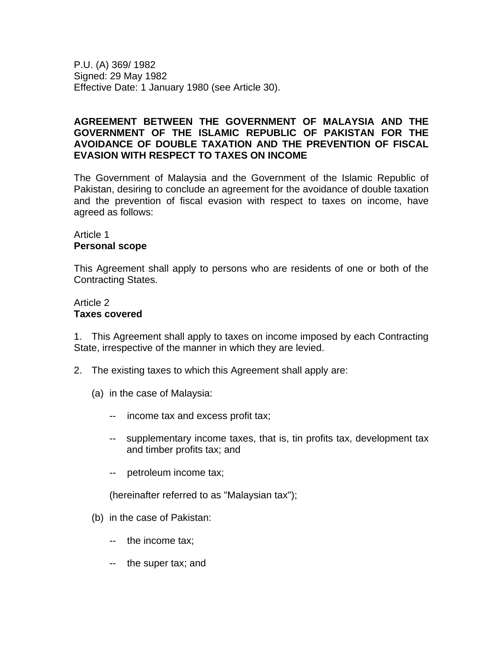P.U. (A) 369/ 1982 Signed: 29 May 1982 Effective Date: 1 January 1980 (see Article 30).

## **AGREEMENT BETWEEN THE GOVERNMENT OF MALAYSIA AND THE GOVERNMENT OF THE ISLAMIC REPUBLIC OF PAKISTAN FOR THE AVOIDANCE OF DOUBLE TAXATION AND THE PREVENTION OF FISCAL EVASION WITH RESPECT TO TAXES ON INCOME**

The Government of Malaysia and the Government of the Islamic Republic of Pakistan, desiring to conclude an agreement for the avoidance of double taxation and the prevention of fiscal evasion with respect to taxes on income, have agreed as follows:

#### Article 1 **Personal scope**

This Agreement shall apply to persons who are residents of one or both of the Contracting States.

## Article 2 **Taxes covered**

1. This Agreement shall apply to taxes on income imposed by each Contracting State, irrespective of the manner in which they are levied.

- 2. The existing taxes to which this Agreement shall apply are:
	- (a) in the case of Malaysia:
		- -- income tax and excess profit tax;
		- -- supplementary income taxes, that is, tin profits tax, development tax and timber profits tax; and
		- -- petroleum income tax;

(hereinafter referred to as "Malaysian tax");

- (b) in the case of Pakistan:
	- -- the income tax;
	- -- the super tax; and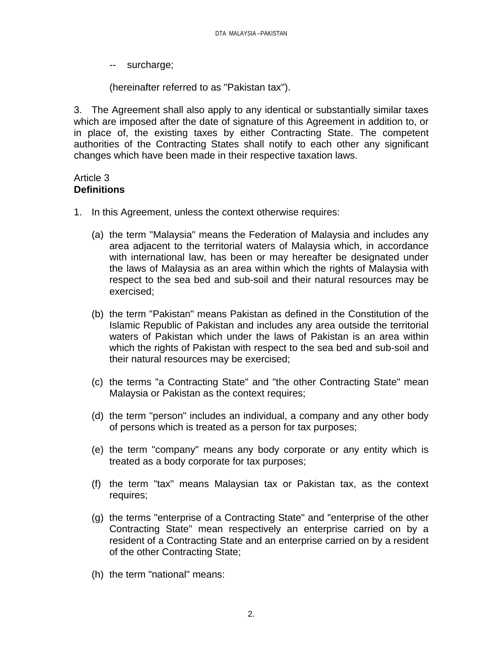-- surcharge;

(hereinafter referred to as "Pakistan tax").

3. The Agreement shall also apply to any identical or substantially similar taxes which are imposed after the date of signature of this Agreement in addition to, or in place of, the existing taxes by either Contracting State. The competent authorities of the Contracting States shall notify to each other any significant changes which have been made in their respective taxation laws.

### Article 3 **Definitions**

- 1. In this Agreement, unless the context otherwise requires:
	- (a) the term "Malaysia" means the Federation of Malaysia and includes any area adjacent to the territorial waters of Malaysia which, in accordance with international law, has been or may hereafter be designated under the laws of Malaysia as an area within which the rights of Malaysia with respect to the sea bed and sub-soil and their natural resources may be exercised;
	- (b) the term "Pakistan" means Pakistan as defined in the Constitution of the Islamic Republic of Pakistan and includes any area outside the territorial waters of Pakistan which under the laws of Pakistan is an area within which the rights of Pakistan with respect to the sea bed and sub-soil and their natural resources may be exercised;
	- (c) the terms "a Contracting State" and "the other Contracting State" mean Malaysia or Pakistan as the context requires;
	- (d) the term "person" includes an individual, a company and any other body of persons which is treated as a person for tax purposes;
	- (e) the term "company" means any body corporate or any entity which is treated as a body corporate for tax purposes;
	- (f) the term "tax" means Malaysian tax or Pakistan tax, as the context requires;
	- (g) the terms "enterprise of a Contracting State" and "enterprise of the other Contracting State" mean respectively an enterprise carried on by a resident of a Contracting State and an enterprise carried on by a resident of the other Contracting State;
	- (h) the term "national" means: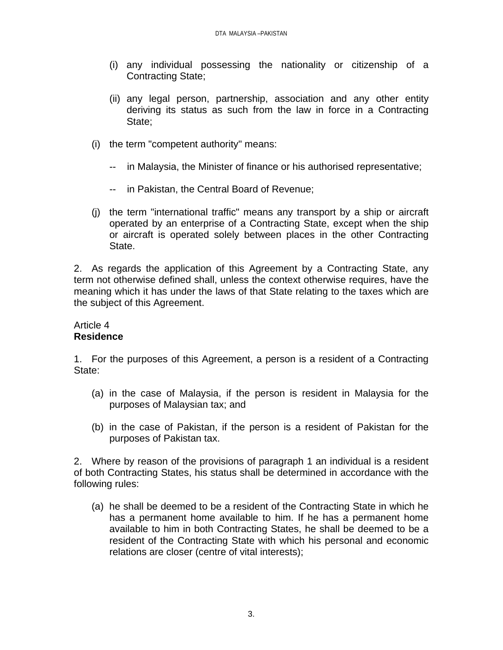- (i) any individual possessing the nationality or citizenship of a Contracting State;
- (ii) any legal person, partnership, association and any other entity deriving its status as such from the law in force in a Contracting State;
- (i) the term "competent authority" means:
	- -- in Malaysia, the Minister of finance or his authorised representative;
	- -- in Pakistan, the Central Board of Revenue;
- (j) the term "international traffic" means any transport by a ship or aircraft operated by an enterprise of a Contracting State, except when the ship or aircraft is operated solely between places in the other Contracting State.

2. As regards the application of this Agreement by a Contracting State, any term not otherwise defined shall, unless the context otherwise requires, have the meaning which it has under the laws of that State relating to the taxes which are the subject of this Agreement.

### Article 4 **Residence**

1. For the purposes of this Agreement, a person is a resident of a Contracting State:

- (a) in the case of Malaysia, if the person is resident in Malaysia for the purposes of Malaysian tax; and
- (b) in the case of Pakistan, if the person is a resident of Pakistan for the purposes of Pakistan tax.

2. Where by reason of the provisions of paragraph 1 an individual is a resident of both Contracting States, his status shall be determined in accordance with the following rules:

(a) he shall be deemed to be a resident of the Contracting State in which he has a permanent home available to him. If he has a permanent home available to him in both Contracting States, he shall be deemed to be a resident of the Contracting State with which his personal and economic relations are closer (centre of vital interests);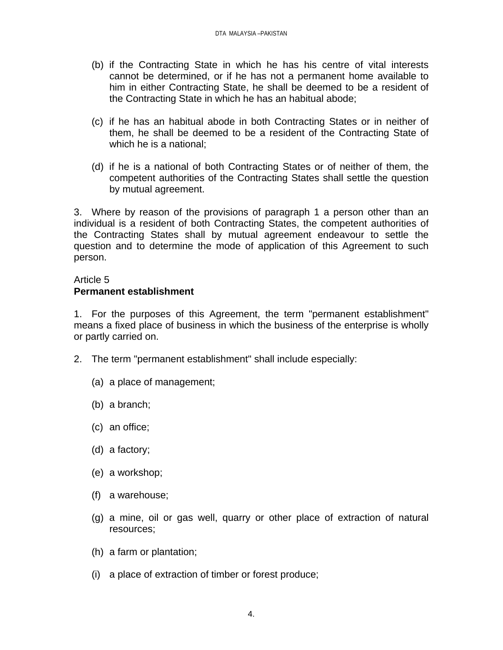- (b) if the Contracting State in which he has his centre of vital interests cannot be determined, or if he has not a permanent home available to him in either Contracting State, he shall be deemed to be a resident of the Contracting State in which he has an habitual abode;
- (c) if he has an habitual abode in both Contracting States or in neither of them, he shall be deemed to be a resident of the Contracting State of which he is a national;
- (d) if he is a national of both Contracting States or of neither of them, the competent authorities of the Contracting States shall settle the question by mutual agreement.

3. Where by reason of the provisions of paragraph 1 a person other than an individual is a resident of both Contracting States, the competent authorities of the Contracting States shall by mutual agreement endeavour to settle the question and to determine the mode of application of this Agreement to such person.

# Article 5 **Permanent establishment**

1. For the purposes of this Agreement, the term "permanent establishment" means a fixed place of business in which the business of the enterprise is wholly or partly carried on.

- 2. The term "permanent establishment" shall include especially:
	- (a) a place of management;
	- (b) a branch;
	- (c) an office;
	- (d) a factory;
	- (e) a workshop;
	- (f) a warehouse;
	- (g) a mine, oil or gas well, quarry or other place of extraction of natural resources;
	- (h) a farm or plantation;
	- (i) a place of extraction of timber or forest produce;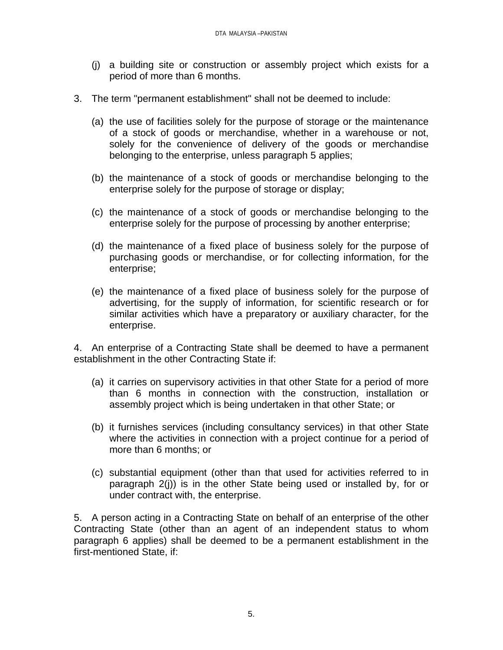- (j) a building site or construction or assembly project which exists for a period of more than 6 months.
- 3. The term "permanent establishment" shall not be deemed to include:
	- (a) the use of facilities solely for the purpose of storage or the maintenance of a stock of goods or merchandise, whether in a warehouse or not, solely for the convenience of delivery of the goods or merchandise belonging to the enterprise, unless paragraph 5 applies;
	- (b) the maintenance of a stock of goods or merchandise belonging to the enterprise solely for the purpose of storage or display;
	- (c) the maintenance of a stock of goods or merchandise belonging to the enterprise solely for the purpose of processing by another enterprise;
	- (d) the maintenance of a fixed place of business solely for the purpose of purchasing goods or merchandise, or for collecting information, for the enterprise;
	- (e) the maintenance of a fixed place of business solely for the purpose of advertising, for the supply of information, for scientific research or for similar activities which have a preparatory or auxiliary character, for the enterprise.

4. An enterprise of a Contracting State shall be deemed to have a permanent establishment in the other Contracting State if:

- (a) it carries on supervisory activities in that other State for a period of more than 6 months in connection with the construction, installation or assembly project which is being undertaken in that other State; or
- (b) it furnishes services (including consultancy services) in that other State where the activities in connection with a project continue for a period of more than 6 months; or
- (c) substantial equipment (other than that used for activities referred to in paragraph 2(j)) is in the other State being used or installed by, for or under contract with, the enterprise.

5. A person acting in a Contracting State on behalf of an enterprise of the other Contracting State (other than an agent of an independent status to whom paragraph 6 applies) shall be deemed to be a permanent establishment in the first-mentioned State, if: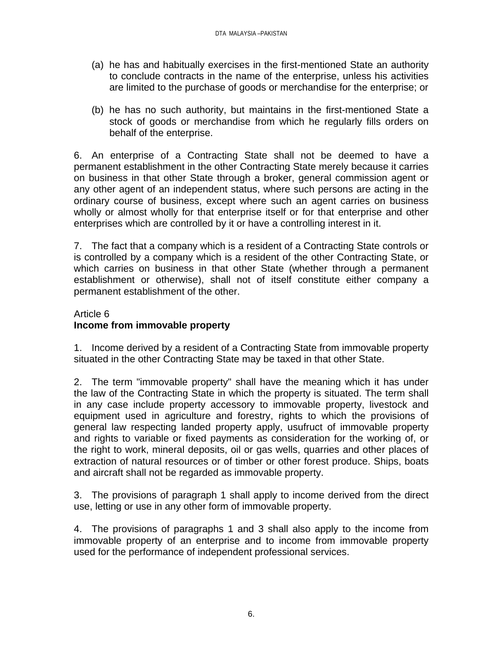- (a) he has and habitually exercises in the first-mentioned State an authority to conclude contracts in the name of the enterprise, unless his activities are limited to the purchase of goods or merchandise for the enterprise; or
- (b) he has no such authority, but maintains in the first-mentioned State a stock of goods or merchandise from which he regularly fills orders on behalf of the enterprise.

6. An enterprise of a Contracting State shall not be deemed to have a permanent establishment in the other Contracting State merely because it carries on business in that other State through a broker, general commission agent or any other agent of an independent status, where such persons are acting in the ordinary course of business, except where such an agent carries on business wholly or almost wholly for that enterprise itself or for that enterprise and other enterprises which are controlled by it or have a controlling interest in it.

7. The fact that a company which is a resident of a Contracting State controls or is controlled by a company which is a resident of the other Contracting State, or which carries on business in that other State (whether through a permanent establishment or otherwise), shall not of itself constitute either company a permanent establishment of the other.

## Article 6 **Income from immovable property**

1. Income derived by a resident of a Contracting State from immovable property situated in the other Contracting State may be taxed in that other State.

2. The term "immovable property" shall have the meaning which it has under the law of the Contracting State in which the property is situated. The term shall in any case include property accessory to immovable property, livestock and equipment used in agriculture and forestry, rights to which the provisions of general law respecting landed property apply, usufruct of immovable property and rights to variable or fixed payments as consideration for the working of, or the right to work, mineral deposits, oil or gas wells, quarries and other places of extraction of natural resources or of timber or other forest produce. Ships, boats and aircraft shall not be regarded as immovable property.

3. The provisions of paragraph 1 shall apply to income derived from the direct use, letting or use in any other form of immovable property.

4. The provisions of paragraphs 1 and 3 shall also apply to the income from immovable property of an enterprise and to income from immovable property used for the performance of independent professional services.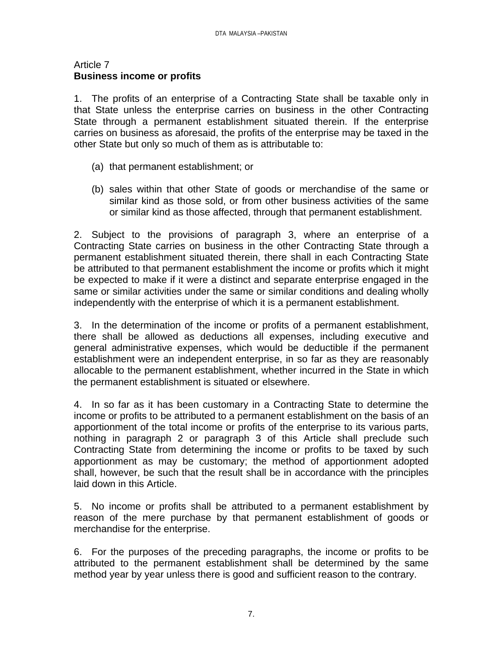#### Article 7 **Business income or profits**

1. The profits of an enterprise of a Contracting State shall be taxable only in that State unless the enterprise carries on business in the other Contracting State through a permanent establishment situated therein. If the enterprise carries on business as aforesaid, the profits of the enterprise may be taxed in the other State but only so much of them as is attributable to:

- (a) that permanent establishment; or
- (b) sales within that other State of goods or merchandise of the same or similar kind as those sold, or from other business activities of the same or similar kind as those affected, through that permanent establishment.

2. Subject to the provisions of paragraph 3, where an enterprise of a Contracting State carries on business in the other Contracting State through a permanent establishment situated therein, there shall in each Contracting State be attributed to that permanent establishment the income or profits which it might be expected to make if it were a distinct and separate enterprise engaged in the same or similar activities under the same or similar conditions and dealing wholly independently with the enterprise of which it is a permanent establishment.

3. In the determination of the income or profits of a permanent establishment, there shall be allowed as deductions all expenses, including executive and general administrative expenses, which would be deductible if the permanent establishment were an independent enterprise, in so far as they are reasonably allocable to the permanent establishment, whether incurred in the State in which the permanent establishment is situated or elsewhere.

4. In so far as it has been customary in a Contracting State to determine the income or profits to be attributed to a permanent establishment on the basis of an apportionment of the total income or profits of the enterprise to its various parts, nothing in paragraph 2 or paragraph 3 of this Article shall preclude such Contracting State from determining the income or profits to be taxed by such apportionment as may be customary; the method of apportionment adopted shall, however, be such that the result shall be in accordance with the principles laid down in this Article.

5. No income or profits shall be attributed to a permanent establishment by reason of the mere purchase by that permanent establishment of goods or merchandise for the enterprise.

6. For the purposes of the preceding paragraphs, the income or profits to be attributed to the permanent establishment shall be determined by the same method year by year unless there is good and sufficient reason to the contrary.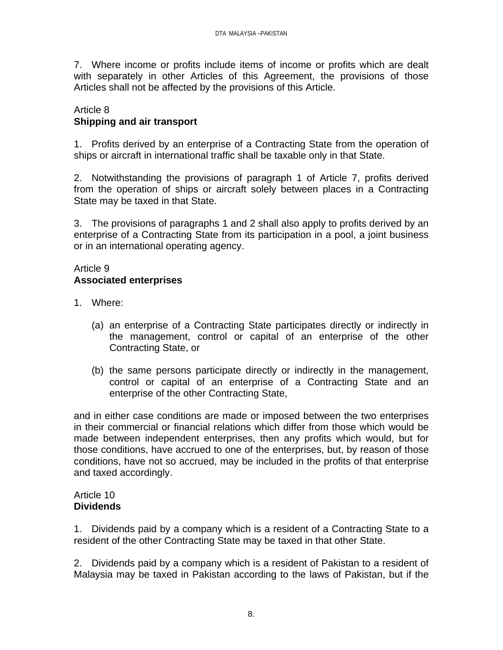7. Where income or profits include items of income or profits which are dealt with separately in other Articles of this Agreement, the provisions of those Articles shall not be affected by the provisions of this Article.

## Article 8 **Shipping and air transport**

1. Profits derived by an enterprise of a Contracting State from the operation of ships or aircraft in international traffic shall be taxable only in that State.

2. Notwithstanding the provisions of paragraph 1 of Article 7, profits derived from the operation of ships or aircraft solely between places in a Contracting State may be taxed in that State.

3. The provisions of paragraphs 1 and 2 shall also apply to profits derived by an enterprise of a Contracting State from its participation in a pool, a joint business or in an international operating agency.

## Article 9 **Associated enterprises**

- 1. Where:
	- (a) an enterprise of a Contracting State participates directly or indirectly in the management, control or capital of an enterprise of the other Contracting State, or
	- (b) the same persons participate directly or indirectly in the management, control or capital of an enterprise of a Contracting State and an enterprise of the other Contracting State,

and in either case conditions are made or imposed between the two enterprises in their commercial or financial relations which differ from those which would be made between independent enterprises, then any profits which would, but for those conditions, have accrued to one of the enterprises, but, by reason of those conditions, have not so accrued, may be included in the profits of that enterprise and taxed accordingly.

### Article 10 **Dividends**

1. Dividends paid by a company which is a resident of a Contracting State to a resident of the other Contracting State may be taxed in that other State.

2. Dividends paid by a company which is a resident of Pakistan to a resident of Malaysia may be taxed in Pakistan according to the laws of Pakistan, but if the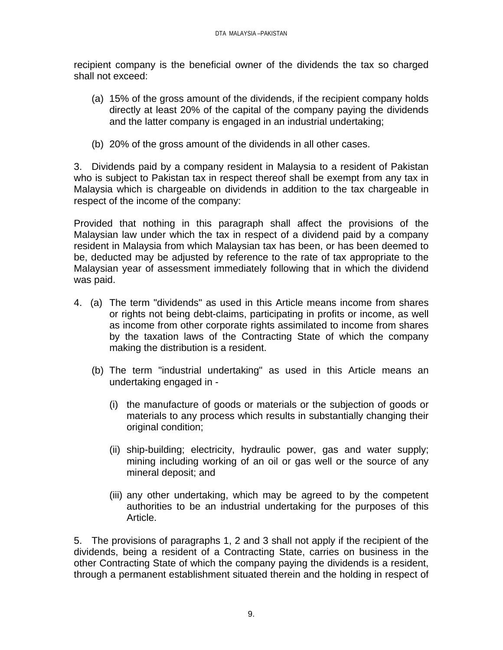recipient company is the beneficial owner of the dividends the tax so charged shall not exceed:

- (a) 15% of the gross amount of the dividends, if the recipient company holds directly at least 20% of the capital of the company paying the dividends and the latter company is engaged in an industrial undertaking;
- (b) 20% of the gross amount of the dividends in all other cases.

3. Dividends paid by a company resident in Malaysia to a resident of Pakistan who is subject to Pakistan tax in respect thereof shall be exempt from any tax in Malaysia which is chargeable on dividends in addition to the tax chargeable in respect of the income of the company:

Provided that nothing in this paragraph shall affect the provisions of the Malaysian law under which the tax in respect of a dividend paid by a company resident in Malaysia from which Malaysian tax has been, or has been deemed to be, deducted may be adjusted by reference to the rate of tax appropriate to the Malaysian year of assessment immediately following that in which the dividend was paid.

- 4. (a) The term "dividends" as used in this Article means income from shares or rights not being debt-claims, participating in profits or income, as well as income from other corporate rights assimilated to income from shares by the taxation laws of the Contracting State of which the company making the distribution is a resident.
	- (b) The term "industrial undertaking" as used in this Article means an undertaking engaged in -
		- (i) the manufacture of goods or materials or the subjection of goods or materials to any process which results in substantially changing their original condition;
		- (ii) ship-building; electricity, hydraulic power, gas and water supply; mining including working of an oil or gas well or the source of any mineral deposit; and
		- (iii) any other undertaking, which may be agreed to by the competent authorities to be an industrial undertaking for the purposes of this Article.

5. The provisions of paragraphs 1, 2 and 3 shall not apply if the recipient of the dividends, being a resident of a Contracting State, carries on business in the other Contracting State of which the company paying the dividends is a resident, through a permanent establishment situated therein and the holding in respect of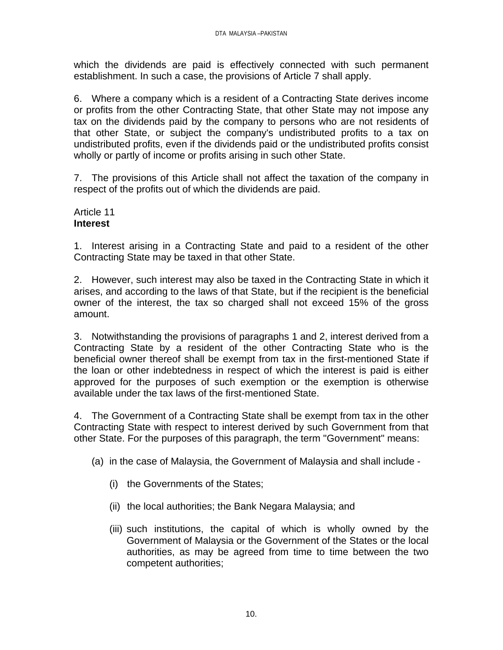which the dividends are paid is effectively connected with such permanent establishment. In such a case, the provisions of Article 7 shall apply.

6. Where a company which is a resident of a Contracting State derives income or profits from the other Contracting State, that other State may not impose any tax on the dividends paid by the company to persons who are not residents of that other State, or subject the company's undistributed profits to a tax on undistributed profits, even if the dividends paid or the undistributed profits consist wholly or partly of income or profits arising in such other State.

7. The provisions of this Article shall not affect the taxation of the company in respect of the profits out of which the dividends are paid.

### Article 11 **Interest**

1. Interest arising in a Contracting State and paid to a resident of the other Contracting State may be taxed in that other State.

2. However, such interest may also be taxed in the Contracting State in which it arises, and according to the laws of that State, but if the recipient is the beneficial owner of the interest, the tax so charged shall not exceed 15% of the gross amount.

3. Notwithstanding the provisions of paragraphs 1 and 2, interest derived from a Contracting State by a resident of the other Contracting State who is the beneficial owner thereof shall be exempt from tax in the first-mentioned State if the loan or other indebtedness in respect of which the interest is paid is either approved for the purposes of such exemption or the exemption is otherwise available under the tax laws of the first-mentioned State.

4. The Government of a Contracting State shall be exempt from tax in the other Contracting State with respect to interest derived by such Government from that other State. For the purposes of this paragraph, the term "Government" means:

(a) in the case of Malaysia, the Government of Malaysia and shall include -

- (i) the Governments of the States;
- (ii) the local authorities; the Bank Negara Malaysia; and
- (iii) such institutions, the capital of which is wholly owned by the Government of Malaysia or the Government of the States or the local authorities, as may be agreed from time to time between the two competent authorities;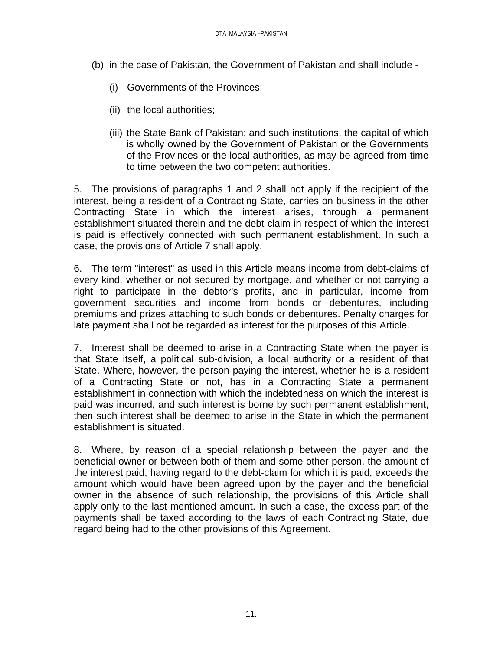- (b) in the case of Pakistan, the Government of Pakistan and shall include
	- (i) Governments of the Provinces;
	- (ii) the local authorities;
	- (iii) the State Bank of Pakistan; and such institutions, the capital of which is wholly owned by the Government of Pakistan or the Governments of the Provinces or the local authorities, as may be agreed from time to time between the two competent authorities.

5. The provisions of paragraphs 1 and 2 shall not apply if the recipient of the interest, being a resident of a Contracting State, carries on business in the other Contracting State in which the interest arises, through a permanent establishment situated therein and the debt-claim in respect of which the interest is paid is effectively connected with such permanent establishment. In such a case, the provisions of Article 7 shall apply.

6. The term "interest" as used in this Article means income from debt-claims of every kind, whether or not secured by mortgage, and whether or not carrying a right to participate in the debtor's profits, and in particular, income from government securities and income from bonds or debentures, including premiums and prizes attaching to such bonds or debentures. Penalty charges for late payment shall not be regarded as interest for the purposes of this Article.

7. Interest shall be deemed to arise in a Contracting State when the payer is that State itself, a political sub-division, a local authority or a resident of that State. Where, however, the person paying the interest, whether he is a resident of a Contracting State or not, has in a Contracting State a permanent establishment in connection with which the indebtedness on which the interest is paid was incurred, and such interest is borne by such permanent establishment, then such interest shall be deemed to arise in the State in which the permanent establishment is situated.

8. Where, by reason of a special relationship between the payer and the beneficial owner or between both of them and some other person, the amount of the interest paid, having regard to the debt-claim for which it is paid, exceeds the amount which would have been agreed upon by the payer and the beneficial owner in the absence of such relationship, the provisions of this Article shall apply only to the last-mentioned amount. In such a case, the excess part of the payments shall be taxed according to the laws of each Contracting State, due regard being had to the other provisions of this Agreement.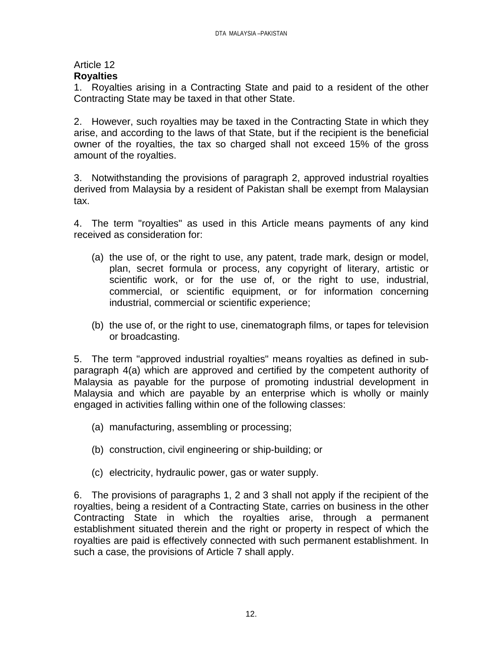### Article 12 **Royalties**

1. Royalties arising in a Contracting State and paid to a resident of the other Contracting State may be taxed in that other State.

2. However, such royalties may be taxed in the Contracting State in which they arise, and according to the laws of that State, but if the recipient is the beneficial owner of the royalties, the tax so charged shall not exceed 15% of the gross amount of the royalties.

3. Notwithstanding the provisions of paragraph 2, approved industrial royalties derived from Malaysia by a resident of Pakistan shall be exempt from Malaysian tax.

4. The term "royalties" as used in this Article means payments of any kind received as consideration for:

- (a) the use of, or the right to use, any patent, trade mark, design or model, plan, secret formula or process, any copyright of literary, artistic or scientific work, or for the use of, or the right to use, industrial, commercial, or scientific equipment, or for information concerning industrial, commercial or scientific experience;
- (b) the use of, or the right to use, cinematograph films, or tapes for television or broadcasting.

5. The term "approved industrial royalties" means royalties as defined in subparagraph 4(a) which are approved and certified by the competent authority of Malaysia as payable for the purpose of promoting industrial development in Malaysia and which are payable by an enterprise which is wholly or mainly engaged in activities falling within one of the following classes:

- (a) manufacturing, assembling or processing;
- (b) construction, civil engineering or ship-building; or
- (c) electricity, hydraulic power, gas or water supply.

6. The provisions of paragraphs 1, 2 and 3 shall not apply if the recipient of the royalties, being a resident of a Contracting State, carries on business in the other Contracting State in which the royalties arise, through a permanent establishment situated therein and the right or property in respect of which the royalties are paid is effectively connected with such permanent establishment. In such a case, the provisions of Article 7 shall apply.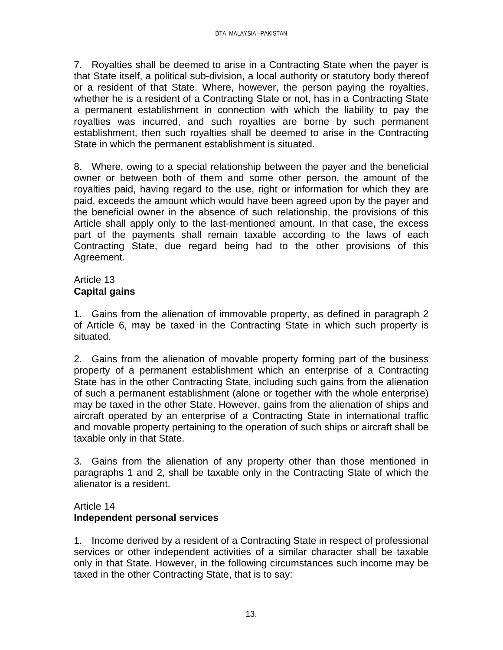7. Royalties shall be deemed to arise in a Contracting State when the payer is that State itself, a political sub-division, a local authority or statutory body thereof or a resident of that State. Where, however, the person paying the royalties, whether he is a resident of a Contracting State or not, has in a Contracting State a permanent establishment in connection with which the liability to pay the royalties was incurred, and such royalties are borne by such permanent establishment, then such royalties shall be deemed to arise in the Contracting State in which the permanent establishment is situated.

8. Where, owing to a special relationship between the payer and the beneficial owner or between both of them and some other person, the amount of the royalties paid, having regard to the use, right or information for which they are paid, exceeds the amount which would have been agreed upon by the payer and the beneficial owner in the absence of such relationship, the provisions of this Article shall apply only to the last-mentioned amount. In that case, the excess part of the payments shall remain taxable according to the laws of each Contracting State, due regard being had to the other provisions of this Agreement.

# Article 13 **Capital gains**

1. Gains from the alienation of immovable property, as defined in paragraph 2 of Article 6, may be taxed in the Contracting State in which such property is situated.

2. Gains from the alienation of movable property forming part of the business property of a permanent establishment which an enterprise of a Contracting State has in the other Contracting State, including such gains from the alienation of such a permanent establishment (alone or together with the whole enterprise) may be taxed in the other State. However, gains from the alienation of ships and aircraft operated by an enterprise of a Contracting State in international traffic and movable property pertaining to the operation of such ships or aircraft shall be taxable only in that State.

3. Gains from the alienation of any property other than those mentioned in paragraphs 1 and 2, shall be taxable only in the Contracting State of which the alienator is a resident.

# Article 14

# **Independent personal services**

1. Income derived by a resident of a Contracting State in respect of professional services or other independent activities of a similar character shall be taxable only in that State. However, in the following circumstances such income may be taxed in the other Contracting State, that is to say: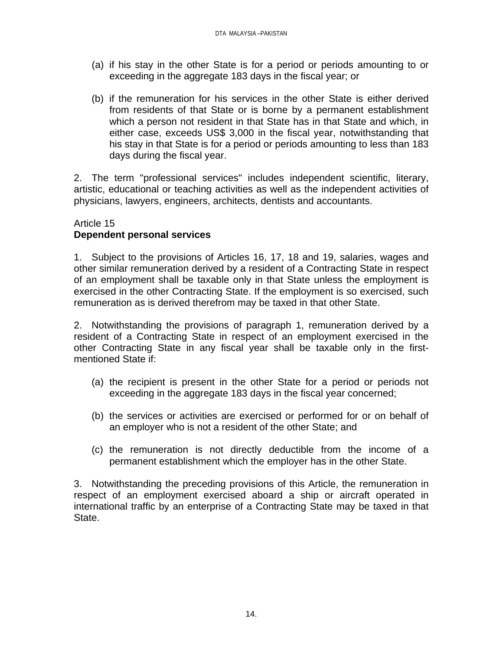- (a) if his stay in the other State is for a period or periods amounting to or exceeding in the aggregate 183 days in the fiscal year; or
- (b) if the remuneration for his services in the other State is either derived from residents of that State or is borne by a permanent establishment which a person not resident in that State has in that State and which, in either case, exceeds US\$ 3,000 in the fiscal year, notwithstanding that his stay in that State is for a period or periods amounting to less than 183 days during the fiscal year.

2. The term "professional services" includes independent scientific, literary, artistic, educational or teaching activities as well as the independent activities of physicians, lawyers, engineers, architects, dentists and accountants.

## Article 15

# **Dependent personal services**

1. Subject to the provisions of Articles 16, 17, 18 and 19, salaries, wages and other similar remuneration derived by a resident of a Contracting State in respect of an employment shall be taxable only in that State unless the employment is exercised in the other Contracting State. If the employment is so exercised, such remuneration as is derived therefrom may be taxed in that other State.

2. Notwithstanding the provisions of paragraph 1, remuneration derived by a resident of a Contracting State in respect of an employment exercised in the other Contracting State in any fiscal year shall be taxable only in the firstmentioned State if:

- (a) the recipient is present in the other State for a period or periods not exceeding in the aggregate 183 days in the fiscal year concerned;
- (b) the services or activities are exercised or performed for or on behalf of an employer who is not a resident of the other State; and
- (c) the remuneration is not directly deductible from the income of a permanent establishment which the employer has in the other State.

3. Notwithstanding the preceding provisions of this Article, the remuneration in respect of an employment exercised aboard a ship or aircraft operated in international traffic by an enterprise of a Contracting State may be taxed in that State.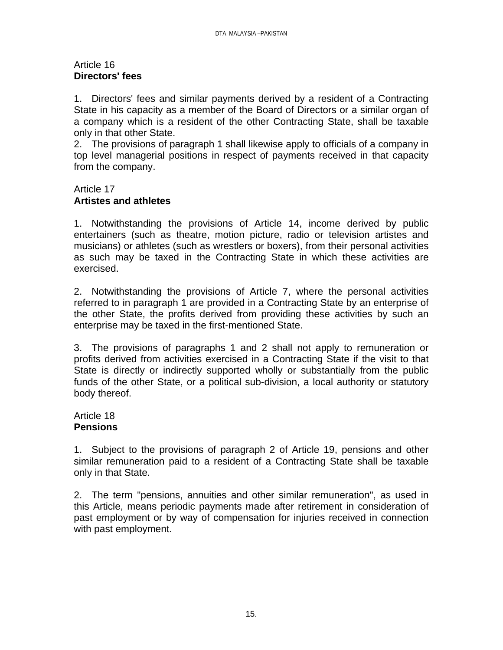#### Article 16 **Directors' fees**

1. Directors' fees and similar payments derived by a resident of a Contracting State in his capacity as a member of the Board of Directors or a similar organ of a company which is a resident of the other Contracting State, shall be taxable only in that other State.

2. The provisions of paragraph 1 shall likewise apply to officials of a company in top level managerial positions in respect of payments received in that capacity from the company.

## Article 17 **Artistes and athletes**

1. Notwithstanding the provisions of Article 14, income derived by public entertainers (such as theatre, motion picture, radio or television artistes and musicians) or athletes (such as wrestlers or boxers), from their personal activities as such may be taxed in the Contracting State in which these activities are exercised.

2. Notwithstanding the provisions of Article 7, where the personal activities referred to in paragraph 1 are provided in a Contracting State by an enterprise of the other State, the profits derived from providing these activities by such an enterprise may be taxed in the first-mentioned State.

3. The provisions of paragraphs 1 and 2 shall not apply to remuneration or profits derived from activities exercised in a Contracting State if the visit to that State is directly or indirectly supported wholly or substantially from the public funds of the other State, or a political sub-division, a local authority or statutory body thereof.

## Article 18 **Pensions**

1. Subject to the provisions of paragraph 2 of Article 19, pensions and other similar remuneration paid to a resident of a Contracting State shall be taxable only in that State.

2. The term "pensions, annuities and other similar remuneration", as used in this Article, means periodic payments made after retirement in consideration of past employment or by way of compensation for injuries received in connection with past employment.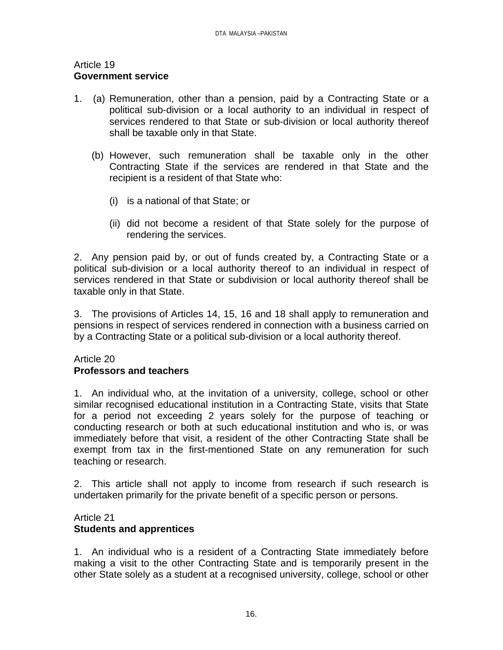#### Article 19 **Government service**

- 1. (a) Remuneration, other than a pension, paid by a Contracting State or a political sub-division or a local authority to an individual in respect of services rendered to that State or sub-division or local authority thereof shall be taxable only in that State.
	- (b) However, such remuneration shall be taxable only in the other Contracting State if the services are rendered in that State and the recipient is a resident of that State who:
		- (i) is a national of that State; or
		- (ii) did not become a resident of that State solely for the purpose of rendering the services.

2. Any pension paid by, or out of funds created by, a Contracting State or a political sub-division or a local authority thereof to an individual in respect of services rendered in that State or subdivision or local authority thereof shall be taxable only in that State.

3. The provisions of Articles 14, 15, 16 and 18 shall apply to remuneration and pensions in respect of services rendered in connection with a business carried on by a Contracting State or a political sub-division or a local authority thereof.

## Article 20 **Professors and teachers**

1. An individual who, at the invitation of a university, college, school or other similar recognised educational institution in a Contracting State, visits that State for a period not exceeding 2 years solely for the purpose of teaching or conducting research or both at such educational institution and who is, or was immediately before that visit, a resident of the other Contracting State shall be exempt from tax in the first-mentioned State on any remuneration for such teaching or research.

2. This article shall not apply to income from research if such research is undertaken primarily for the private benefit of a specific person or persons.

#### Article 21 **Students and apprentices**

1. An individual who is a resident of a Contracting State immediately before making a visit to the other Contracting State and is temporarily present in the other State solely as a student at a recognised university, college, school or other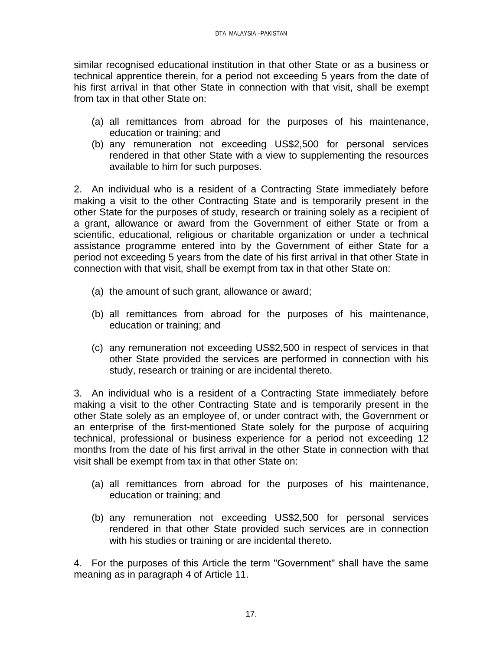similar recognised educational institution in that other State or as a business or technical apprentice therein, for a period not exceeding 5 years from the date of his first arrival in that other State in connection with that visit, shall be exempt from tax in that other State on:

- (a) all remittances from abroad for the purposes of his maintenance, education or training; and
- (b) any remuneration not exceeding US\$2,500 for personal services rendered in that other State with a view to supplementing the resources available to him for such purposes.

2. An individual who is a resident of a Contracting State immediately before making a visit to the other Contracting State and is temporarily present in the other State for the purposes of study, research or training solely as a recipient of a grant, allowance or award from the Government of either State or from a scientific, educational, religious or charitable organization or under a technical assistance programme entered into by the Government of either State for a period not exceeding 5 years from the date of his first arrival in that other State in connection with that visit, shall be exempt from tax in that other State on:

- (a) the amount of such grant, allowance or award;
- (b) all remittances from abroad for the purposes of his maintenance, education or training; and
- (c) any remuneration not exceeding US\$2,500 in respect of services in that other State provided the services are performed in connection with his study, research or training or are incidental thereto.

3. An individual who is a resident of a Contracting State immediately before making a visit to the other Contracting State and is temporarily present in the other State solely as an employee of, or under contract with, the Government or an enterprise of the first-mentioned State solely for the purpose of acquiring technical, professional or business experience for a period not exceeding 12 months from the date of his first arrival in the other State in connection with that visit shall be exempt from tax in that other State on:

- (a) all remittances from abroad for the purposes of his maintenance, education or training; and
- (b) any remuneration not exceeding US\$2,500 for personal services rendered in that other State provided such services are in connection with his studies or training or are incidental thereto.

4. For the purposes of this Article the term "Government" shall have the same meaning as in paragraph 4 of Article 11.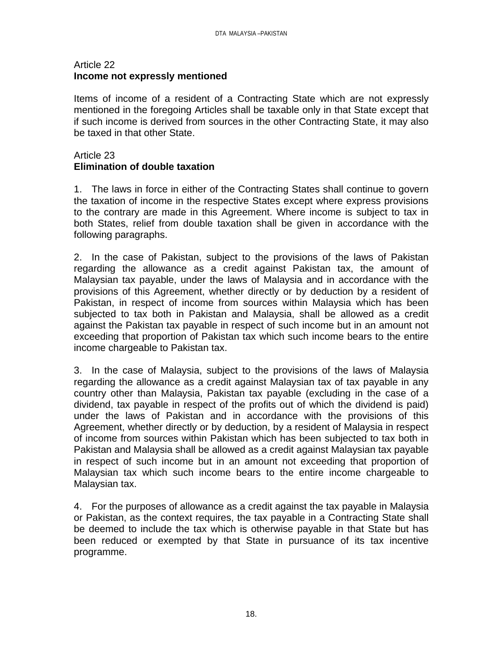### Article 22 **Income not expressly mentioned**

Items of income of a resident of a Contracting State which are not expressly mentioned in the foregoing Articles shall be taxable only in that State except that if such income is derived from sources in the other Contracting State, it may also be taxed in that other State.

## Article 23 **Elimination of double taxation**

1. The laws in force in either of the Contracting States shall continue to govern the taxation of income in the respective States except where express provisions to the contrary are made in this Agreement. Where income is subject to tax in both States, relief from double taxation shall be given in accordance with the following paragraphs.

2. In the case of Pakistan, subject to the provisions of the laws of Pakistan regarding the allowance as a credit against Pakistan tax, the amount of Malaysian tax payable, under the laws of Malaysia and in accordance with the provisions of this Agreement, whether directly or by deduction by a resident of Pakistan, in respect of income from sources within Malaysia which has been subjected to tax both in Pakistan and Malaysia, shall be allowed as a credit against the Pakistan tax payable in respect of such income but in an amount not exceeding that proportion of Pakistan tax which such income bears to the entire income chargeable to Pakistan tax.

3. In the case of Malaysia, subject to the provisions of the laws of Malaysia regarding the allowance as a credit against Malaysian tax of tax payable in any country other than Malaysia, Pakistan tax payable (excluding in the case of a dividend, tax payable in respect of the profits out of which the dividend is paid) under the laws of Pakistan and in accordance with the provisions of this Agreement, whether directly or by deduction, by a resident of Malaysia in respect of income from sources within Pakistan which has been subjected to tax both in Pakistan and Malaysia shall be allowed as a credit against Malaysian tax payable in respect of such income but in an amount not exceeding that proportion of Malaysian tax which such income bears to the entire income chargeable to Malaysian tax.

4. For the purposes of allowance as a credit against the tax payable in Malaysia or Pakistan, as the context requires, the tax payable in a Contracting State shall be deemed to include the tax which is otherwise payable in that State but has been reduced or exempted by that State in pursuance of its tax incentive programme.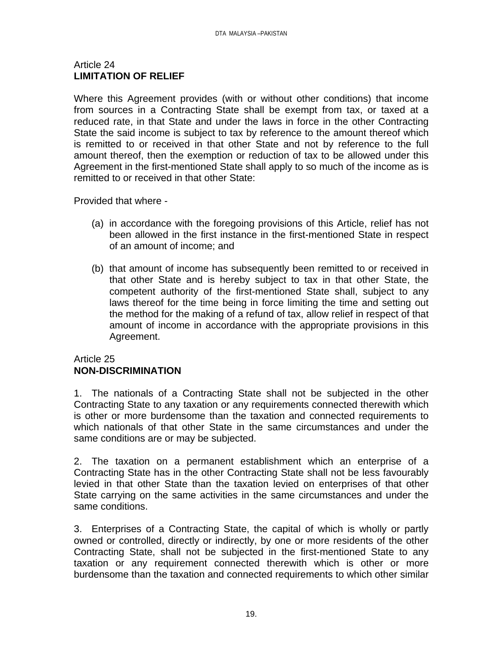## Article 24 **LIMITATION OF RELIEF**

Where this Agreement provides (with or without other conditions) that income from sources in a Contracting State shall be exempt from tax, or taxed at a reduced rate, in that State and under the laws in force in the other Contracting State the said income is subject to tax by reference to the amount thereof which is remitted to or received in that other State and not by reference to the full amount thereof, then the exemption or reduction of tax to be allowed under this Agreement in the first-mentioned State shall apply to so much of the income as is remitted to or received in that other State:

Provided that where -

- (a) in accordance with the foregoing provisions of this Article, relief has not been allowed in the first instance in the first-mentioned State in respect of an amount of income; and
- (b) that amount of income has subsequently been remitted to or received in that other State and is hereby subject to tax in that other State, the competent authority of the first-mentioned State shall, subject to any laws thereof for the time being in force limiting the time and setting out the method for the making of a refund of tax, allow relief in respect of that amount of income in accordance with the appropriate provisions in this Agreement.

# Article 25 **NON-DISCRIMINATION**

1. The nationals of a Contracting State shall not be subjected in the other Contracting State to any taxation or any requirements connected therewith which is other or more burdensome than the taxation and connected requirements to which nationals of that other State in the same circumstances and under the same conditions are or may be subjected.

2. The taxation on a permanent establishment which an enterprise of a Contracting State has in the other Contracting State shall not be less favourably levied in that other State than the taxation levied on enterprises of that other State carrying on the same activities in the same circumstances and under the same conditions.

3. Enterprises of a Contracting State, the capital of which is wholly or partly owned or controlled, directly or indirectly, by one or more residents of the other Contracting State, shall not be subjected in the first-mentioned State to any taxation or any requirement connected therewith which is other or more burdensome than the taxation and connected requirements to which other similar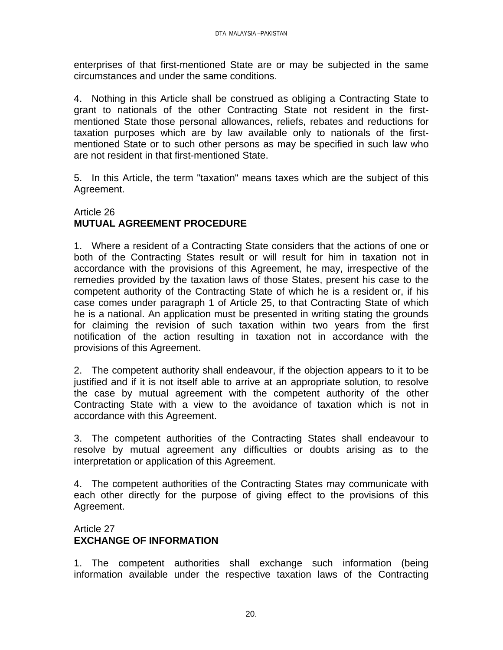enterprises of that first-mentioned State are or may be subjected in the same circumstances and under the same conditions.

4. Nothing in this Article shall be construed as obliging a Contracting State to grant to nationals of the other Contracting State not resident in the firstmentioned State those personal allowances, reliefs, rebates and reductions for taxation purposes which are by law available only to nationals of the firstmentioned State or to such other persons as may be specified in such law who are not resident in that first-mentioned State.

5. In this Article, the term "taxation" means taxes which are the subject of this Agreement.

# Article 26 **MUTUAL AGREEMENT PROCEDURE**

1. Where a resident of a Contracting State considers that the actions of one or both of the Contracting States result or will result for him in taxation not in accordance with the provisions of this Agreement, he may, irrespective of the remedies provided by the taxation laws of those States, present his case to the competent authority of the Contracting State of which he is a resident or, if his case comes under paragraph 1 of Article 25, to that Contracting State of which he is a national. An application must be presented in writing stating the grounds for claiming the revision of such taxation within two years from the first notification of the action resulting in taxation not in accordance with the provisions of this Agreement.

2. The competent authority shall endeavour, if the objection appears to it to be justified and if it is not itself able to arrive at an appropriate solution, to resolve the case by mutual agreement with the competent authority of the other Contracting State with a view to the avoidance of taxation which is not in accordance with this Agreement.

3. The competent authorities of the Contracting States shall endeavour to resolve by mutual agreement any difficulties or doubts arising as to the interpretation or application of this Agreement.

4. The competent authorities of the Contracting States may communicate with each other directly for the purpose of giving effect to the provisions of this Agreement.

# Article 27 **EXCHANGE OF INFORMATION**

1. The competent authorities shall exchange such information (being information available under the respective taxation laws of the Contracting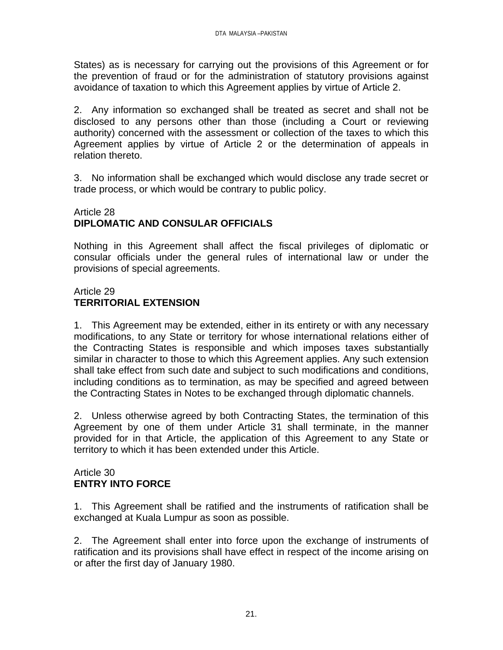States) as is necessary for carrying out the provisions of this Agreement or for the prevention of fraud or for the administration of statutory provisions against avoidance of taxation to which this Agreement applies by virtue of Article 2.

2. Any information so exchanged shall be treated as secret and shall not be disclosed to any persons other than those (including a Court or reviewing authority) concerned with the assessment or collection of the taxes to which this Agreement applies by virtue of Article 2 or the determination of appeals in relation thereto.

3. No information shall be exchanged which would disclose any trade secret or trade process, or which would be contrary to public policy.

# Article 28 **DIPLOMATIC AND CONSULAR OFFICIALS**

Nothing in this Agreement shall affect the fiscal privileges of diplomatic or consular officials under the general rules of international law or under the provisions of special agreements.

## Article 29 **TERRITORIAL EXTENSION**

1. This Agreement may be extended, either in its entirety or with any necessary modifications, to any State or territory for whose international relations either of the Contracting States is responsible and which imposes taxes substantially similar in character to those to which this Agreement applies. Any such extension shall take effect from such date and subject to such modifications and conditions, including conditions as to termination, as may be specified and agreed between the Contracting States in Notes to be exchanged through diplomatic channels.

2. Unless otherwise agreed by both Contracting States, the termination of this Agreement by one of them under Article 31 shall terminate, in the manner provided for in that Article, the application of this Agreement to any State or territory to which it has been extended under this Article.

## Article 30 **ENTRY INTO FORCE**

1. This Agreement shall be ratified and the instruments of ratification shall be exchanged at Kuala Lumpur as soon as possible.

2. The Agreement shall enter into force upon the exchange of instruments of ratification and its provisions shall have effect in respect of the income arising on or after the first day of January 1980.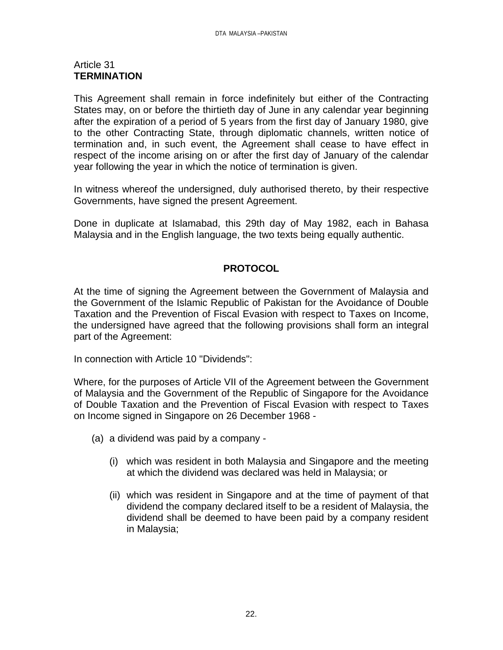### Article 31 **TERMINATION**

This Agreement shall remain in force indefinitely but either of the Contracting States may, on or before the thirtieth day of June in any calendar year beginning after the expiration of a period of 5 years from the first day of January 1980, give to the other Contracting State, through diplomatic channels, written notice of termination and, in such event, the Agreement shall cease to have effect in respect of the income arising on or after the first day of January of the calendar year following the year in which the notice of termination is given.

In witness whereof the undersigned, duly authorised thereto, by their respective Governments, have signed the present Agreement.

Done in duplicate at Islamabad, this 29th day of May 1982, each in Bahasa Malaysia and in the English language, the two texts being equally authentic.

# **PROTOCOL**

At the time of signing the Agreement between the Government of Malaysia and the Government of the Islamic Republic of Pakistan for the Avoidance of Double Taxation and the Prevention of Fiscal Evasion with respect to Taxes on Income, the undersigned have agreed that the following provisions shall form an integral part of the Agreement:

In connection with Article 10 "Dividends":

Where, for the purposes of Article VII of the Agreement between the Government of Malaysia and the Government of the Republic of Singapore for the Avoidance of Double Taxation and the Prevention of Fiscal Evasion with respect to Taxes on Income signed in Singapore on 26 December 1968 -

- (a) a dividend was paid by a company
	- (i) which was resident in both Malaysia and Singapore and the meeting at which the dividend was declared was held in Malaysia; or
	- (ii) which was resident in Singapore and at the time of payment of that dividend the company declared itself to be a resident of Malaysia, the dividend shall be deemed to have been paid by a company resident in Malaysia;